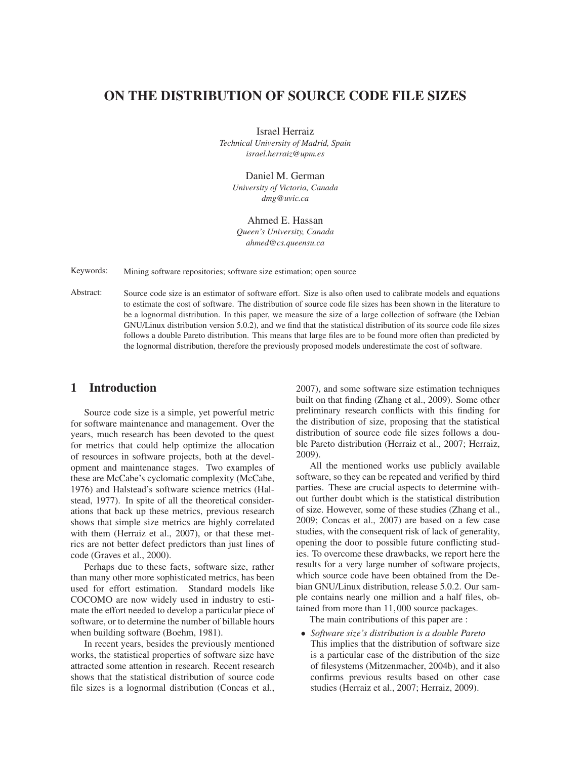# **ON THE DISTRIBUTION OF SOURCE CODE FILE SIZES**

Israel Herraiz *Technical University of Madrid, Spain israel.herraiz@upm.es*

Daniel M. German

*University of Victoria, Canada dmg@uvic.ca*

Ahmed E. Hassan *Queen's University, Canada ahmed@cs.queensu.ca*

Keywords: Mining software repositories; software size estimation; open source

Abstract: Source code size is an estimator of software effort. Size is also often used to calibrate models and equations to estimate the cost of software. The distribution of source code file sizes has been shown in the literature to be a lognormal distribution. In this paper, we measure the size of a large collection of software (the Debian GNU/Linux distribution version 5.0.2), and we find that the statistical distribution of its source code file sizes follows a double Pareto distribution. This means that large files are to be found more often than predicted by the lognormal distribution, therefore the previously proposed models underestimate the cost of software.

## **1 Introduction**

Source code size is a simple, yet powerful metric for software maintenance and management. Over the years, much research has been devoted to the quest for metrics that could help optimize the allocation of resources in software projects, both at the development and maintenance stages. Two examples of these are McCabe's cyclomatic complexity (McCabe, 1976) and Halstead's software science metrics (Halstead, 1977). In spite of all the theoretical considerations that back up these metrics, previous research shows that simple size metrics are highly correlated with them (Herraiz et al., 2007), or that these metrics are not better defect predictors than just lines of code (Graves et al., 2000).

Perhaps due to these facts, software size, rather than many other more sophisticated metrics, has been used for effort estimation. Standard models like COCOMO are now widely used in industry to estimate the effort needed to develop a particular piece of software, or to determine the number of billable hours when building software (Boehm, 1981).

In recent years, besides the previously mentioned works, the statistical properties of software size have attracted some attention in research. Recent research shows that the statistical distribution of source code file sizes is a lognormal distribution (Concas et al., 2007), and some software size estimation techniques built on that finding (Zhang et al., 2009). Some other preliminary research conflicts with this finding for the distribution of size, proposing that the statistical distribution of source code file sizes follows a double Pareto distribution (Herraiz et al., 2007; Herraiz, 2009).

All the mentioned works use publicly available software, so they can be repeated and verified by third parties. These are crucial aspects to determine without further doubt which is the statistical distribution of size. However, some of these studies (Zhang et al., 2009; Concas et al., 2007) are based on a few case studies, with the consequent risk of lack of generality, opening the door to possible future conflicting studies. To overcome these drawbacks, we report here the results for a very large number of software projects, which source code have been obtained from the Debian GNU/Linux distribution, release 5.0.2. Our sample contains nearly one million and a half files, obtained from more than 11,000 source packages.

The main contributions of this paper are :

• *Software size's distribution is a double Pareto* This implies that the distribution of software size is a particular case of the distribution of the size of filesystems (Mitzenmacher, 2004b), and it also confirms previous results based on other case studies (Herraiz et al., 2007; Herraiz, 2009).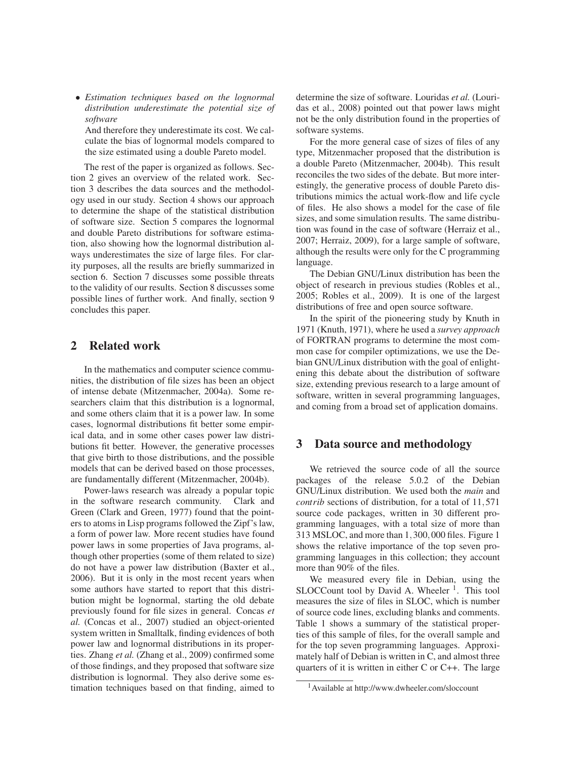• *Estimation techniques based on the lognormal distribution underestimate the potential size of software*

And therefore they underestimate its cost. We calculate the bias of lognormal models compared to the size estimated using a double Pareto model.

The rest of the paper is organized as follows. Section 2 gives an overview of the related work. Section 3 describes the data sources and the methodology used in our study. Section 4 shows our approach to determine the shape of the statistical distribution of software size. Section 5 compares the lognormal and double Pareto distributions for software estimation, also showing how the lognormal distribution always underestimates the size of large files. For clarity purposes, all the results are briefly summarized in section 6. Section 7 discusses some possible threats to the validity of our results. Section 8 discusses some possible lines of further work. And finally, section 9 concludes this paper.

## **2 Related work**

In the mathematics and computer science communities, the distribution of file sizes has been an object of intense debate (Mitzenmacher, 2004a). Some researchers claim that this distribution is a lognormal, and some others claim that it is a power law. In some cases, lognormal distributions fit better some empirical data, and in some other cases power law distributions fit better. However, the generative processes that give birth to those distributions, and the possible models that can be derived based on those processes, are fundamentally different (Mitzenmacher, 2004b).

Power-laws research was already a popular topic in the software research community. Clark and Green (Clark and Green, 1977) found that the pointers to atoms in Lisp programs followed the Zipf's law, a form of power law. More recent studies have found power laws in some properties of Java programs, although other properties (some of them related to size) do not have a power law distribution (Baxter et al., 2006). But it is only in the most recent years when some authors have started to report that this distribution might be lognormal, starting the old debate previously found for file sizes in general. Concas *et al.* (Concas et al., 2007) studied an object-oriented system written in Smalltalk, finding evidences of both power law and lognormal distributions in its properties. Zhang *et al.* (Zhang et al., 2009) confirmed some of those findings, and they proposed that software size distribution is lognormal. They also derive some estimation techniques based on that finding, aimed to determine the size of software. Louridas *et al.* (Louridas et al., 2008) pointed out that power laws might not be the only distribution found in the properties of software systems.

For the more general case of sizes of files of any type, Mitzenmacher proposed that the distribution is a double Pareto (Mitzenmacher, 2004b). This result reconciles the two sides of the debate. But more interestingly, the generative process of double Pareto distributions mimics the actual work-flow and life cycle of files. He also shows a model for the case of file sizes, and some simulation results. The same distribution was found in the case of software (Herraiz et al., 2007; Herraiz, 2009), for a large sample of software, although the results were only for the C programming language.

The Debian GNU/Linux distribution has been the object of research in previous studies (Robles et al., 2005; Robles et al., 2009). It is one of the largest distributions of free and open source software.

In the spirit of the pioneering study by Knuth in 1971 (Knuth, 1971), where he used a *survey approach* of FORTRAN programs to determine the most common case for compiler optimizations, we use the Debian GNU/Linux distribution with the goal of enlightening this debate about the distribution of software size, extending previous research to a large amount of software, written in several programming languages, and coming from a broad set of application domains.

# **3 Data source and methodology**

We retrieved the source code of all the source packages of the release 5.0.2 of the Debian GNU/Linux distribution. We used both the *main* and *contrib* sections of distribution, for a total of 11,571 source code packages, written in 30 different programming languages, with a total size of more than 313 MSLOC, and more than 1,300,000 files. Figure 1 shows the relative importance of the top seven programming languages in this collection; they account more than 90% of the files.

We measured every file in Debian, using the SLOCCount tool by David A. Wheeler  $<sup>1</sup>$ . This tool</sup> measures the size of files in SLOC, which is number of source code lines, excluding blanks and comments. Table 1 shows a summary of the statistical properties of this sample of files, for the overall sample and for the top seven programming languages. Approximately half of Debian is written in C, and almost three quarters of it is written in either C or C++. The large

<sup>1</sup>Available at http://www.dwheeler.com/sloccount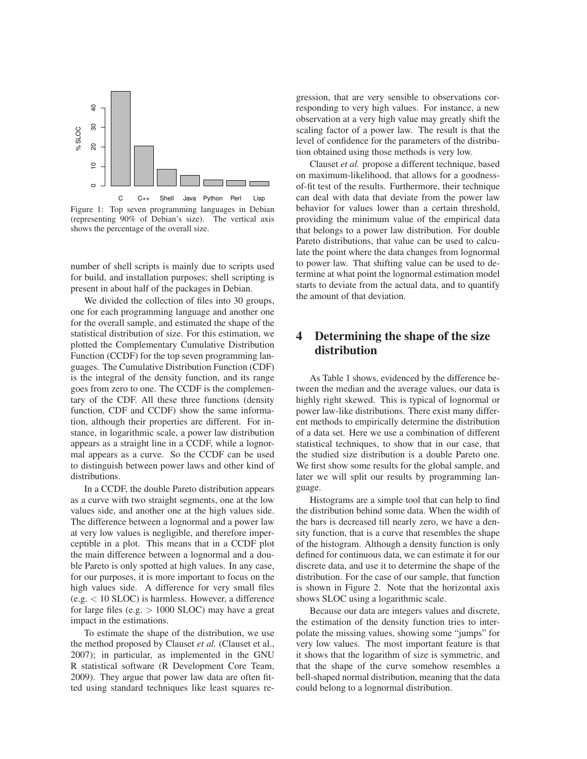

Figure 1: Top seven programming languages in Debian (representing 90% of Debian's size). The vertical axis shows the percentage of the overall size.

number of shell scripts is mainly due to scripts used for build, and installation purposes; shell scripting is present in about half of the packages in Debian.

We divided the collection of files into 30 groups, one for each programming language and another one for the overall sample, and estimated the shape of the statistical distribution of size. For this estimation, we plotted the Complementary Cumulative Distribution Function (CCDF) for the top seven programming languages. The Cumulative Distribution Function (CDF) is the integral of the density function, and its range goes from zero to one. The CCDF is the complementary of the CDF. All these three functions (density function, CDF and CCDF) show the same information, although their properties are different. For instance, in logarithmic scale, a power law distribution appears as a straight line in a CCDF, while a lognormal appears as a curve. So the CCDF can be used to distinguish between power laws and other kind of distributions.

In a CCDF, the double Pareto distribution appears as a curve with two straight segments, one at the low values side, and another one at the high values side. The difference between a lognormal and a power law at very low values is negligible, and therefore imperceptible in a plot. This means that in a CCDF plot the main difference between a lognormal and a double Pareto is only spotted at high values. In any case, for our purposes, it is more important to focus on the high values side. A difference for very small files (e.g. < 10 SLOC) is harmless. However, a difference for large files (e.g.  $> 1000$  SLOC) may have a great impact in the estimations.

To estimate the shape of the distribution, we use the method proposed by Clauset *et al.* (Clauset et al., 2007); in particular, as implemented in the GNU R statistical software (R Development Core Team, 2009). They argue that power law data are often fitted using standard techniques like least squares regression, that are very sensible to observations corresponding to very high values. For instance, a new observation at a very high value may greatly shift the scaling factor of a power law. The result is that the level of confidence for the parameters of the distribution obtained using those methods is very low.

Clauset *et al.* propose a different technique, based on maximum-likelihood, that allows for a goodnessof-fit test of the results. Furthermore, their technique can deal with data that deviate from the power law behavior for values lower than a certain threshold, providing the minimum value of the empirical data that belongs to a power law distribution. For double Pareto distributions, that value can be used to calculate the point where the data changes from lognormal to power law. That shifting value can be used to determine at what point the lognormal estimation model starts to deviate from the actual data, and to quantify the amount of that deviation.

# **4 Determining the shape of the size distribution**

As Table 1 shows, evidenced by the difference between the median and the average values, our data is highly right skewed. This is typical of lognormal or power law-like distributions. There exist many different methods to empirically determine the distribution of a data set. Here we use a combination of different statistical techniques, to show that in our case, that the studied size distribution is a double Pareto one. We first show some results for the global sample, and later we will split our results by programming language.

Histograms are a simple tool that can help to find the distribution behind some data. When the width of the bars is decreased till nearly zero, we have a density function, that is a curve that resembles the shape of the histogram. Although a density function is only defined for continuous data, we can estimate it for our discrete data, and use it to determine the shape of the distribution. For the case of our sample, that function is shown in Figure 2. Note that the horizontal axis shows SLOC using a logarithmic scale.

Because our data are integers values and discrete, the estimation of the density function tries to interpolate the missing values, showing some "jumps" for very low values. The most important feature is that it shows that the logarithm of size is symmetric, and that the shape of the curve somehow resembles a bell-shaped normal distribution, meaning that the data could belong to a lognormal distribution.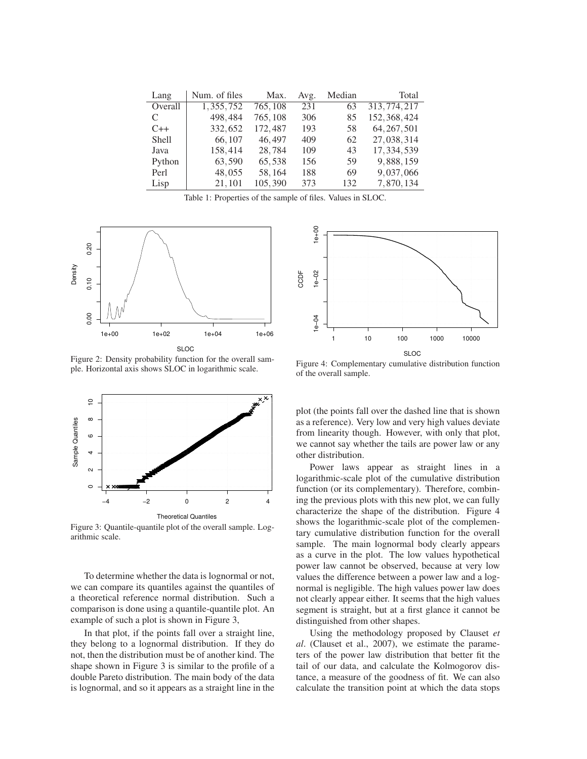| Lang         | Num. of files | Max.     | Avg. | Median | Total         |
|--------------|---------------|----------|------|--------|---------------|
| Overall      | 1,355,752     | 765, 108 | 231  | 63     | 313, 774, 217 |
| C            | 498,484       | 765, 108 | 306  | 85     | 152, 368, 424 |
| $C++$        | 332,652       | 172,487  | 193  | 58     | 64, 267, 501  |
| <b>Shell</b> | 66, 107       | 46,497   | 409  | 62     | 27,038,314    |
| Java         | 158,414       | 28,784   | 109  | 43     | 17, 334, 539  |
| Python       | 63,590        | 65,538   | 156  | 59     | 9,888,159     |
| Perl         | 48,055        | 58,164   | 188  | 69     | 9,037,066     |
| Lisp         | 21,101        | 105,390  | 373  | 132    | 7,870,134     |

Table 1: Properties of the sample of files. Values in SLOC.



Figure 2: Density probability function for the overall sample. Horizontal axis shows SLOC in logarithmic scale.



Figure 3: Quantile-quantile plot of the overall sample. Logarithmic scale.

To determine whether the data is lognormal or not, we can compare its quantiles against the quantiles of a theoretical reference normal distribution. Such a comparison is done using a quantile-quantile plot. An example of such a plot is shown in Figure 3,

In that plot, if the points fall over a straight line, they belong to a lognormal distribution. If they do not, then the distribution must be of another kind. The shape shown in Figure 3 is similar to the profile of a double Pareto distribution. The main body of the data is lognormal, and so it appears as a straight line in the



Figure 4: Complementary cumulative distribution function of the overall sample.

plot (the points fall over the dashed line that is shown as a reference). Very low and very high values deviate from linearity though. However, with only that plot, we cannot say whether the tails are power law or any other distribution.

Power laws appear as straight lines in a logarithmic-scale plot of the cumulative distribution function (or its complementary). Therefore, combining the previous plots with this new plot, we can fully characterize the shape of the distribution. Figure 4 shows the logarithmic-scale plot of the complementary cumulative distribution function for the overall sample. The main lognormal body clearly appears as a curve in the plot. The low values hypothetical power law cannot be observed, because at very low values the difference between a power law and a lognormal is negligible. The high values power law does not clearly appear either. It seems that the high values segment is straight, but at a first glance it cannot be distinguished from other shapes.

Using the methodology proposed by Clauset *et al*. (Clauset et al., 2007), we estimate the parameters of the power law distribution that better fit the tail of our data, and calculate the Kolmogorov distance, a measure of the goodness of fit. We can also calculate the transition point at which the data stops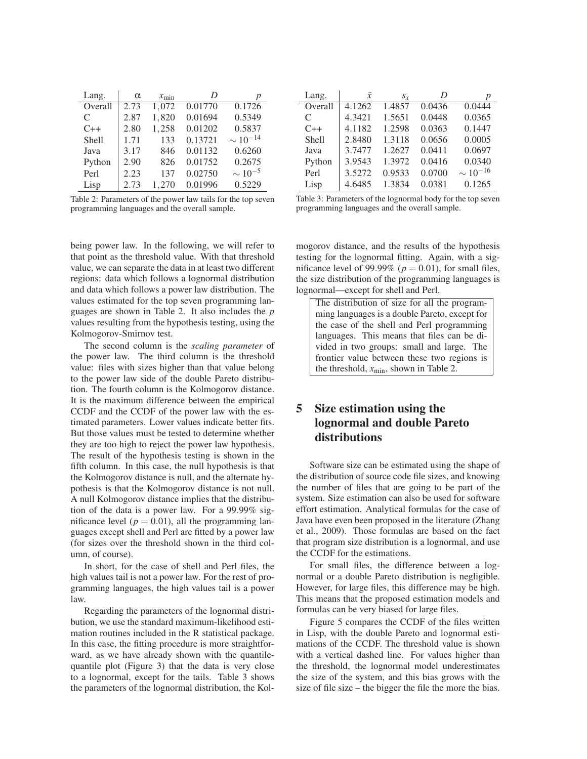| Lang.        | $\alpha$ | $x_{\min}$ | D       |                 |
|--------------|----------|------------|---------|-----------------|
| Overall      | 2.73     | 1,072      | 0.01770 | 0.1726          |
| C            | 2.87     | 1,820      | 0.01694 | 0.5349          |
| $C++$        | 2.80     | 1,258      | 0.01202 | 0.5837          |
| <b>Shell</b> | 1.71     | 133        | 0.13721 | $\sim 10^{-14}$ |
| Java         | 3.17     | 846        | 0.01132 | 0.6260          |
| Python       | 2.90     | 826        | 0.01752 | 0.2675          |
| Perl         | 2.23     | 137        | 0.02750 | $\sim 10^{-5}$  |
| Lisp         | 2.73     | 1,270      | 0.01996 | 0.5229          |

Table 2: Parameters of the power law tails for the top seven programming languages and the overall sample.

being power law. In the following, we will refer to that point as the threshold value. With that threshold value, we can separate the data in at least two different regions: data which follows a lognormal distribution and data which follows a power law distribution. The values estimated for the top seven programming languages are shown in Table 2. It also includes the *p* values resulting from the hypothesis testing, using the Kolmogorov-Smirnov test.

The second column is the *scaling parameter* of the power law. The third column is the threshold value: files with sizes higher than that value belong to the power law side of the double Pareto distribution. The fourth column is the Kolmogorov distance. It is the maximum difference between the empirical CCDF and the CCDF of the power law with the estimated parameters. Lower values indicate better fits. But those values must be tested to determine whether they are too high to reject the power law hypothesis. The result of the hypothesis testing is shown in the fifth column. In this case, the null hypothesis is that the Kolmogorov distance is null, and the alternate hypothesis is that the Kolmogorov distance is not null. A null Kolmogorov distance implies that the distribution of the data is a power law. For a 99.99% significance level ( $p = 0.01$ ), all the programming languages except shell and Perl are fitted by a power law (for sizes over the threshold shown in the third column, of course).

In short, for the case of shell and Perl files, the high values tail is not a power law. For the rest of programming languages, the high values tail is a power law.

Regarding the parameters of the lognormal distribution, we use the standard maximum-likelihood estimation routines included in the R statistical package. In this case, the fitting procedure is more straightforward, as we have already shown with the quantilequantile plot (Figure 3) that the data is very close to a lognormal, except for the tails. Table 3 shows the parameters of the lognormal distribution, the Kol-

| Lang.        | $\bar{x}$ | $S_{Y}$ | D      | р               |
|--------------|-----------|---------|--------|-----------------|
| Overall      | 4.1262    | 1.4857  | 0.0436 | 0.0444          |
| C            | 4.3421    | 1.5651  | 0.0448 | 0.0365          |
| $C++$        | 4.1182    | 1.2598  | 0.0363 | 0.1447          |
| <b>Shell</b> | 2.8480    | 1.3118  | 0.0656 | 0.0005          |
| Java         | 3.7477    | 1.2627  | 0.0411 | 0.0697          |
| Python       | 3.9543    | 1.3972  | 0.0416 | 0.0340          |
| Perl         | 3.5272    | 0.9533  | 0.0700 | $\sim 10^{-16}$ |
| Lisp         | 4.6485    | 1.3834  | 0.0381 | 0.1265          |

Table 3: Parameters of the lognormal body for the top seven programming languages and the overall sample.

mogorov distance, and the results of the hypothesis testing for the lognormal fitting. Again, with a significance level of 99.99% ( $p = 0.01$ ), for small files, the size distribution of the programming languages is lognormal—except for shell and Perl.

The distribution of size for all the programming languages is a double Pareto, except for the case of the shell and Perl programming languages. This means that files can be divided in two groups: small and large. The frontier value between these two regions is the threshold,  $x_{\text{min}}$ , shown in Table 2.

# **5 Size estimation using the lognormal and double Pareto distributions**

Software size can be estimated using the shape of the distribution of source code file sizes, and knowing the number of files that are going to be part of the system. Size estimation can also be used for software effort estimation. Analytical formulas for the case of Java have even been proposed in the literature (Zhang et al., 2009). Those formulas are based on the fact that program size distribution is a lognormal, and use the CCDF for the estimations.

For small files, the difference between a lognormal or a double Pareto distribution is negligible. However, for large files, this difference may be high. This means that the proposed estimation models and formulas can be very biased for large files.

Figure 5 compares the CCDF of the files written in Lisp, with the double Pareto and lognormal estimations of the CCDF. The threshold value is shown with a vertical dashed line. For values higher than the threshold, the lognormal model underestimates the size of the system, and this bias grows with the size of file size – the bigger the file the more the bias.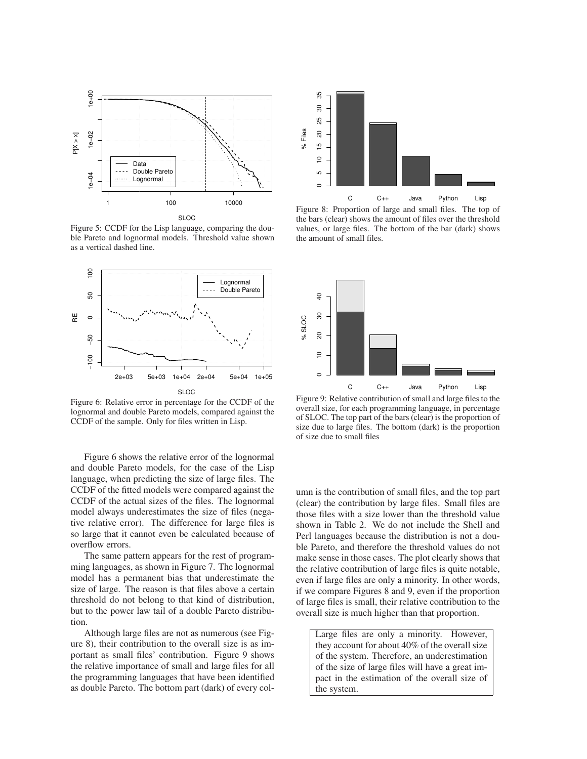

Figure 5: CCDF for the Lisp language, comparing the double Pareto and lognormal models. Threshold value shown as a vertical dashed line.



Figure 6: Relative error in percentage for the CCDF of the lognormal and double Pareto models, compared against the CCDF of the sample. Only for files written in Lisp.

Figure 6 shows the relative error of the lognormal and double Pareto models, for the case of the Lisp language, when predicting the size of large files. The CCDF of the fitted models were compared against the CCDF of the actual sizes of the files. The lognormal model always underestimates the size of files (negative relative error). The difference for large files is so large that it cannot even be calculated because of overflow errors.

The same pattern appears for the rest of programming languages, as shown in Figure 7. The lognormal model has a permanent bias that underestimate the size of large. The reason is that files above a certain threshold do not belong to that kind of distribution, but to the power law tail of a double Pareto distribution.

Although large files are not as numerous (see Figure 8), their contribution to the overall size is as important as small files' contribution. Figure 9 shows the relative importance of small and large files for all the programming languages that have been identified as double Pareto. The bottom part (dark) of every col-



Figure 8: Proportion of large and small files. The top of the bars (clear) shows the amount of files over the threshold values, or large files. The bottom of the bar (dark) shows the amount of small files.



Figure 9: Relative contribution of small and large files to the overall size, for each programming language, in percentage of SLOC. The top part of the bars (clear) is the proportion of size due to large files. The bottom (dark) is the proportion of size due to small files

umn is the contribution of small files, and the top part (clear) the contribution by large files. Small files are those files with a size lower than the threshold value shown in Table 2. We do not include the Shell and Perl languages because the distribution is not a double Pareto, and therefore the threshold values do not make sense in those cases. The plot clearly shows that the relative contribution of large files is quite notable, even if large files are only a minority. In other words, if we compare Figures 8 and 9, even if the proportion of large files is small, their relative contribution to the overall size is much higher than that proportion.

Large files are only a minority. However, they account for about 40% of the overall size of the system. Therefore, an underestimation of the size of large files will have a great impact in the estimation of the overall size of the system.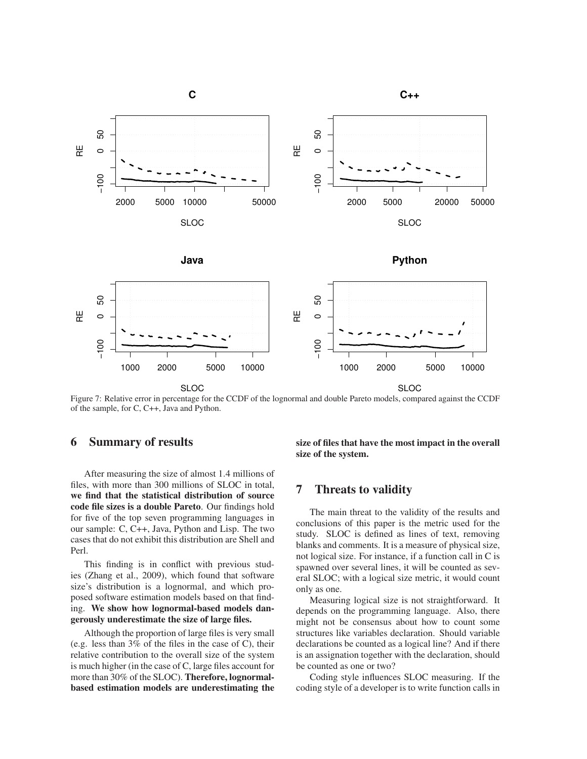

Figure 7: Relative error in percentage for the CCDF of the lognormal and double Pareto models, compared against the CCDF of the sample, for C, C++, Java and Python.

# **6 Summary of results**

After measuring the size of almost 1.4 millions of files, with more than 300 millions of SLOC in total, **we find that the statistical distribution of source code file sizes is a double Pareto**. Our findings hold for five of the top seven programming languages in our sample: C, C++, Java, Python and Lisp. The two cases that do not exhibit this distribution are Shell and Perl.

This finding is in conflict with previous studies (Zhang et al., 2009), which found that software size's distribution is a lognormal, and which proposed software estimation models based on that finding. **We show how lognormal-based models dangerously underestimate the size of large files.**

Although the proportion of large files is very small (e.g. less than 3% of the files in the case of C), their relative contribution to the overall size of the system is much higher (in the case of C, large files account for more than 30% of the SLOC). **Therefore, lognormalbased estimation models are underestimating the** **size of files that have the most impact in the overall size of the system.**

# **7 Threats to validity**

The main threat to the validity of the results and conclusions of this paper is the metric used for the study. SLOC is defined as lines of text, removing blanks and comments. It is a measure of physical size, not logical size. For instance, if a function call in C is spawned over several lines, it will be counted as several SLOC; with a logical size metric, it would count only as one.

Measuring logical size is not straightforward. It depends on the programming language. Also, there might not be consensus about how to count some structures like variables declaration. Should variable declarations be counted as a logical line? And if there is an assignation together with the declaration, should be counted as one or two?

Coding style influences SLOC measuring. If the coding style of a developer is to write function calls in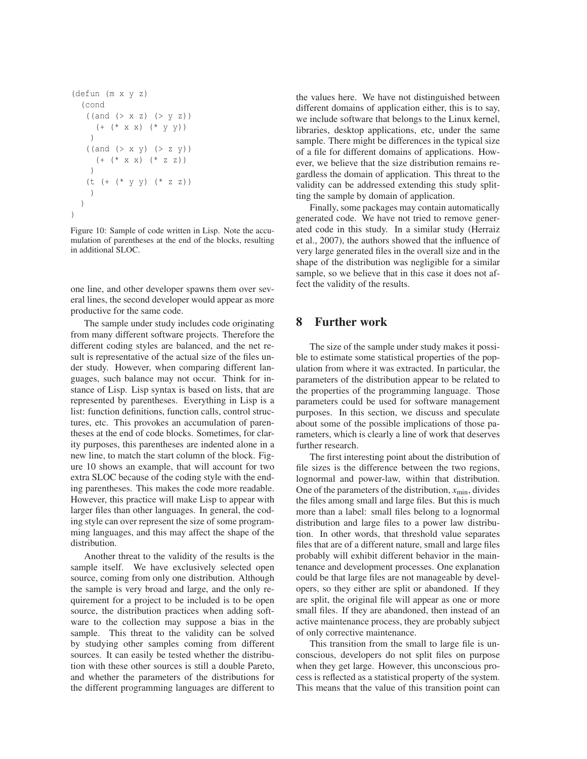```
(defun (m x y z)
  (cond
   ((and ( > x z) ( > y z))(+ (* x x) (* y y))
    )
   ((and (> x y) (> z y))(+ (* x x) (* z z))
    )
   (t (+ (* y y) (* z z))
    )
  )
)
```
Figure 10: Sample of code written in Lisp. Note the accumulation of parentheses at the end of the blocks, resulting in additional SLOC.

one line, and other developer spawns them over several lines, the second developer would appear as more productive for the same code.

The sample under study includes code originating from many different software projects. Therefore the different coding styles are balanced, and the net result is representative of the actual size of the files under study. However, when comparing different languages, such balance may not occur. Think for instance of Lisp. Lisp syntax is based on lists, that are represented by parentheses. Everything in Lisp is a list: function definitions, function calls, control structures, etc. This provokes an accumulation of parentheses at the end of code blocks. Sometimes, for clarity purposes, this parentheses are indented alone in a new line, to match the start column of the block. Figure 10 shows an example, that will account for two extra SLOC because of the coding style with the ending parentheses. This makes the code more readable. However, this practice will make Lisp to appear with larger files than other languages. In general, the coding style can over represent the size of some programming languages, and this may affect the shape of the distribution.

Another threat to the validity of the results is the sample itself. We have exclusively selected open source, coming from only one distribution. Although the sample is very broad and large, and the only requirement for a project to be included is to be open source, the distribution practices when adding software to the collection may suppose a bias in the sample. This threat to the validity can be solved by studying other samples coming from different sources. It can easily be tested whether the distribution with these other sources is still a double Pareto, and whether the parameters of the distributions for the different programming languages are different to the values here. We have not distinguished between different domains of application either, this is to say, we include software that belongs to the Linux kernel, libraries, desktop applications, etc, under the same sample. There might be differences in the typical size of a file for different domains of applications. However, we believe that the size distribution remains regardless the domain of application. This threat to the validity can be addressed extending this study splitting the sample by domain of application.

Finally, some packages may contain automatically generated code. We have not tried to remove generated code in this study. In a similar study (Herraiz et al., 2007), the authors showed that the influence of very large generated files in the overall size and in the shape of the distribution was negligible for a similar sample, so we believe that in this case it does not affect the validity of the results.

## **8 Further work**

The size of the sample under study makes it possible to estimate some statistical properties of the population from where it was extracted. In particular, the parameters of the distribution appear to be related to the properties of the programming language. Those parameters could be used for software management purposes. In this section, we discuss and speculate about some of the possible implications of those parameters, which is clearly a line of work that deserves further research.

The first interesting point about the distribution of file sizes is the difference between the two regions, lognormal and power-law, within that distribution. One of the parameters of the distribution,  $x_{\text{min}}$ , divides the files among small and large files. But this is much more than a label: small files belong to a lognormal distribution and large files to a power law distribution. In other words, that threshold value separates files that are of a different nature, small and large files probably will exhibit different behavior in the maintenance and development processes. One explanation could be that large files are not manageable by developers, so they either are split or abandoned. If they are split, the original file will appear as one or more small files. If they are abandoned, then instead of an active maintenance process, they are probably subject of only corrective maintenance.

This transition from the small to large file is unconscious, developers do not split files on purpose when they get large. However, this unconscious process is reflected as a statistical property of the system. This means that the value of this transition point can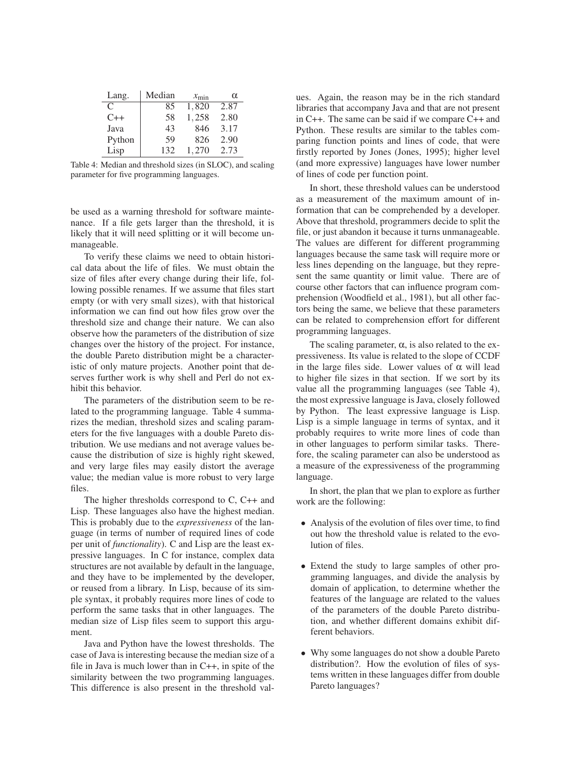| Lang.  | Median | $x_{\min}$ | $\alpha$ |
|--------|--------|------------|----------|
| C      | 85     | 1,820      | 2.87     |
| $C++$  | 58     | 1,258      | 2.80     |
| Java   | 43     | 846        | 3.17     |
| Python | 59     | 826        | 2.90     |
| Lisp   | 132    | 1.270      | 2.73     |

Table 4: Median and threshold sizes (in SLOC), and scaling parameter for five programming languages.

be used as a warning threshold for software maintenance. If a file gets larger than the threshold, it is likely that it will need splitting or it will become unmanageable.

To verify these claims we need to obtain historical data about the life of files. We must obtain the size of files after every change during their life, following possible renames. If we assume that files start empty (or with very small sizes), with that historical information we can find out how files grow over the threshold size and change their nature. We can also observe how the parameters of the distribution of size changes over the history of the project. For instance, the double Pareto distribution might be a characteristic of only mature projects. Another point that deserves further work is why shell and Perl do not exhibit this behavior.

The parameters of the distribution seem to be related to the programming language. Table 4 summarizes the median, threshold sizes and scaling parameters for the five languages with a double Pareto distribution. We use medians and not average values because the distribution of size is highly right skewed, and very large files may easily distort the average value; the median value is more robust to very large files.

The higher thresholds correspond to C, C++ and Lisp. These languages also have the highest median. This is probably due to the *expressiveness* of the language (in terms of number of required lines of code per unit of *functionality*). C and Lisp are the least expressive languages. In C for instance, complex data structures are not available by default in the language, and they have to be implemented by the developer, or reused from a library. In Lisp, because of its simple syntax, it probably requires more lines of code to perform the same tasks that in other languages. The median size of Lisp files seem to support this argument.

Java and Python have the lowest thresholds. The case of Java is interesting because the median size of a file in Java is much lower than in C++, in spite of the similarity between the two programming languages. This difference is also present in the threshold values. Again, the reason may be in the rich standard libraries that accompany Java and that are not present in C++. The same can be said if we compare C++ and Python. These results are similar to the tables comparing function points and lines of code, that were firstly reported by Jones (Jones, 1995); higher level (and more expressive) languages have lower number of lines of code per function point.

In short, these threshold values can be understood as a measurement of the maximum amount of information that can be comprehended by a developer. Above that threshold, programmers decide to split the file, or just abandon it because it turns unmanageable. The values are different for different programming languages because the same task will require more or less lines depending on the language, but they represent the same quantity or limit value. There are of course other factors that can influence program comprehension (Woodfield et al., 1981), but all other factors being the same, we believe that these parameters can be related to comprehension effort for different programming languages.

The scaling parameter,  $\alpha$ , is also related to the expressiveness. Its value is related to the slope of CCDF in the large files side. Lower values of  $\alpha$  will lead to higher file sizes in that section. If we sort by its value all the programming languages (see Table 4), the most expressive language is Java, closely followed by Python. The least expressive language is Lisp. Lisp is a simple language in terms of syntax, and it probably requires to write more lines of code than in other languages to perform similar tasks. Therefore, the scaling parameter can also be understood as a measure of the expressiveness of the programming language.

In short, the plan that we plan to explore as further work are the following:

- Analysis of the evolution of files over time, to find out how the threshold value is related to the evolution of files.
- Extend the study to large samples of other programming languages, and divide the analysis by domain of application, to determine whether the features of the language are related to the values of the parameters of the double Pareto distribution, and whether different domains exhibit different behaviors.
- Why some languages do not show a double Pareto distribution?. How the evolution of files of systems written in these languages differ from double Pareto languages?